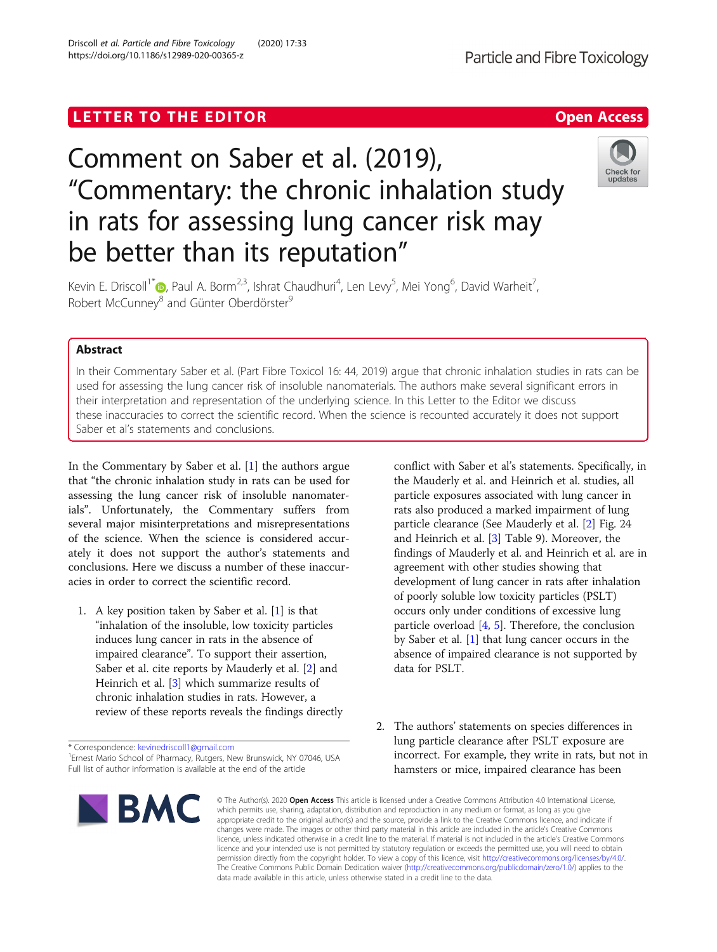## LETTER TO THE EDITOR **CONTRACT CONTRACT CONTRACT CONTRACT CONTRACT CONTRACT CONTRACT CONTRACT CONTRACT CONTRACT CONTRACT CONTRACT CONTRACT CONTRACT CONTRACT CONTRACT CONTRACT CONTRACT CONTRACT CONTRACT CONTRACT CONTRACT CO**

# Comment on Saber et al. (2019), "Commentary: the chronic inhalation study in rats for assessing lung cancer risk may be better than its reputation"

Kevin E. Driscoll<sup>1\*</sup> (**p**[,](http://orcid.org/0000-0002-4544-9122) Paul A. Borm<sup>2,3</sup>, Ishrat Chaudhuri<sup>4</sup>, Len Levy<sup>5</sup>, Mei Yong<sup>6</sup>, David Warheit<sup>7</sup> , Robert McCunney<sup>8</sup> and Günter Oberdörster<sup>9</sup>

## Abstract

In their Commentary Saber et al. (Part Fibre Toxicol 16: 44, 2019) argue that chronic inhalation studies in rats can be used for assessing the lung cancer risk of insoluble nanomaterials. The authors make several significant errors in their interpretation and representation of the underlying science. In this Letter to the Editor we discuss these inaccuracies to correct the scientific record. When the science is recounted accurately it does not support Saber et al's statements and conclusions.

In the Commentary by Saber et al. [[1](#page-2-0)] the authors argue that "the chronic inhalation study in rats can be used for assessing the lung cancer risk of insoluble nanomaterials". Unfortunately, the Commentary suffers from several major misinterpretations and misrepresentations of the science. When the science is considered accurately it does not support the author's statements and conclusions. Here we discuss a number of these inaccuracies in order to correct the scientific record.

1. A key position taken by Saber et al. [\[1](#page-2-0)] is that "inhalation of the insoluble, low toxicity particles induces lung cancer in rats in the absence of impaired clearance". To support their assertion, Saber et al. cite reports by Mauderly et al. [[2\]](#page-2-0) and Heinrich et al. [\[3\]](#page-2-0) which summarize results of chronic inhalation studies in rats. However, a review of these reports reveals the findings directly

\* Correspondence: [kevinedriscoll1@gmail.com](mailto:kevinedriscoll1@gmail.com) <sup>1</sup>

<sup>1</sup> Ernest Mario School of Pharmacy, Rutgers, New Brunswick, NY 07046, USA Full list of author information is available at the end of the article

conflict with Saber et al's statements. Specifically, in the Mauderly et al. and Heinrich et al. studies, all particle exposures associated with lung cancer in rats also produced a marked impairment of lung particle clearance (See Mauderly et al. [[2\]](#page-2-0) Fig. 24 and Heinrich et al. [[3\]](#page-2-0) Table 9). Moreover, the findings of Mauderly et al. and Heinrich et al. are in agreement with other studies showing that development of lung cancer in rats after inhalation of poorly soluble low toxicity particles (PSLT) occurs only under conditions of excessive lung particle overload  $[4, 5]$  $[4, 5]$  $[4, 5]$  $[4, 5]$  $[4, 5]$ . Therefore, the conclusion by Saber et al. [\[1](#page-2-0)] that lung cancer occurs in the absence of impaired clearance is not supported by data for PSLT.

2. The authors' statements on species differences in lung particle clearance after PSLT exposure are incorrect. For example, they write in rats, but not in hamsters or mice, impaired clearance has been

© The Author(s), 2020 **Open Access** This article is licensed under a Creative Commons Attribution 4.0 International License, which permits use, sharing, adaptation, distribution and reproduction in any medium or format, as long as you give appropriate credit to the original author(s) and the source, provide a link to the Creative Commons licence, and indicate if changes were made. The images or other third party material in this article are included in the article's Creative Commons licence, unless indicated otherwise in a credit line to the material. If material is not included in the article's Creative Commons licence and your intended use is not permitted by statutory regulation or exceeds the permitted use, you will need to obtain permission directly from the copyright holder. To view a copy of this licence, visit [http://creativecommons.org/licenses/by/4.0/.](http://creativecommons.org/licenses/by/4.0/) The Creative Commons Public Domain Dedication waiver [\(http://creativecommons.org/publicdomain/zero/1.0/](http://creativecommons.org/publicdomain/zero/1.0/)) applies to the data made available in this article, unless otherwise stated in a credit line to the data.

## Driscoll et al. Particle and Fibre Toxicology (2020) 17:33 https://doi.org/10.1186/s12989-020-00365-z

**BMC** 

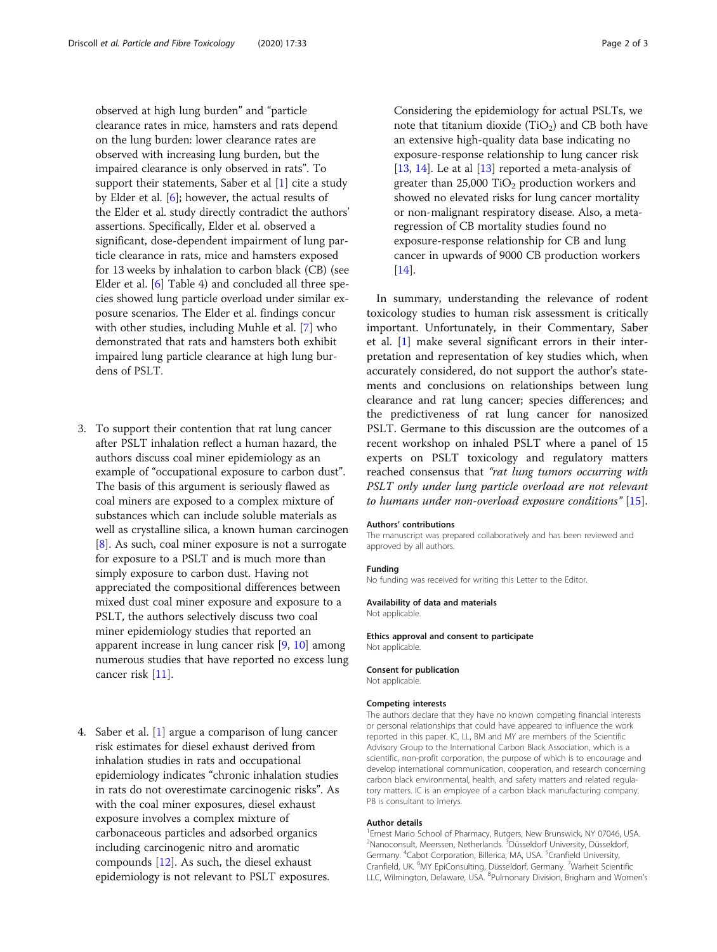observed at high lung burden" and "particle clearance rates in mice, hamsters and rats depend on the lung burden: lower clearance rates are observed with increasing lung burden, but the impaired clearance is only observed in rats". To support their statements, Saber et al  $[1]$  $[1]$  cite a study by Elder et al. [[6\]](#page-2-0); however, the actual results of the Elder et al. study directly contradict the authors' assertions. Specifically, Elder et al. observed a significant, dose-dependent impairment of lung particle clearance in rats, mice and hamsters exposed for 13 weeks by inhalation to carbon black (CB) (see Elder et al. [[6](#page-2-0)] Table 4) and concluded all three species showed lung particle overload under similar exposure scenarios. The Elder et al. findings concur with other studies, including Muhle et al. [\[7\]](#page-2-0) who demonstrated that rats and hamsters both exhibit impaired lung particle clearance at high lung burdens of PSLT.

- 3. To support their contention that rat lung cancer after PSLT inhalation reflect a human hazard, the authors discuss coal miner epidemiology as an example of "occupational exposure to carbon dust". The basis of this argument is seriously flawed as coal miners are exposed to a complex mixture of substances which can include soluble materials as well as crystalline silica, a known human carcinogen [\[8](#page-2-0)]. As such, coal miner exposure is not a surrogate for exposure to a PSLT and is much more than simply exposure to carbon dust. Having not appreciated the compositional differences between mixed dust coal miner exposure and exposure to a PSLT, the authors selectively discuss two coal miner epidemiology studies that reported an apparent increase in lung cancer risk [\[9,](#page-2-0) [10\]](#page-2-0) among numerous studies that have reported no excess lung cancer risk [\[11\]](#page-2-0).
- 4. Saber et al. [[1\]](#page-2-0) argue a comparison of lung cancer risk estimates for diesel exhaust derived from inhalation studies in rats and occupational epidemiology indicates "chronic inhalation studies in rats do not overestimate carcinogenic risks". As with the coal miner exposures, diesel exhaust exposure involves a complex mixture of carbonaceous particles and adsorbed organics including carcinogenic nitro and aromatic compounds [\[12\]](#page-2-0). As such, the diesel exhaust epidemiology is not relevant to PSLT exposures.

Considering the epidemiology for actual PSLTs, we note that titanium dioxide (TiO<sub>2</sub>) and CB both have an extensive high-quality data base indicating no exposure-response relationship to lung cancer risk [[13](#page-2-0), [14\]](#page-2-0). Le at al  $[13]$  $[13]$  reported a meta-analysis of greater than  $25,000$  TiO<sub>2</sub> production workers and showed no elevated risks for lung cancer mortality or non-malignant respiratory disease. Also, a metaregression of CB mortality studies found no exposure-response relationship for CB and lung cancer in upwards of 9000 CB production workers [[14](#page-2-0)].

In summary, understanding the relevance of rodent toxicology studies to human risk assessment is critically important. Unfortunately, in their Commentary, Saber et al. [[1](#page-2-0)] make several significant errors in their interpretation and representation of key studies which, when accurately considered, do not support the author's statements and conclusions on relationships between lung clearance and rat lung cancer; species differences; and the predictiveness of rat lung cancer for nanosized PSLT. Germane to this discussion are the outcomes of a recent workshop on inhaled PSLT where a panel of 15 experts on PSLT toxicology and regulatory matters reached consensus that "rat lung tumors occurring with PSLT only under lung particle overload are not relevant to humans under non-overload exposure conditions" [[15\]](#page-2-0).

#### Authors' contributions

The manuscript was prepared collaboratively and has been reviewed and approved by all authors.

#### Funding

No funding was received for writing this Letter to the Editor.

#### Availability of data and materials

Not applicable.

#### Ethics approval and consent to participate Not applicable.

#### Consent for publication

Not applicable.

#### Competing interests

The authors declare that they have no known competing financial interests or personal relationships that could have appeared to influence the work reported in this paper. IC, LL, BM and MY are members of the Scientific Advisory Group to the International Carbon Black Association, which is a scientific, non-profit corporation, the purpose of which is to encourage and develop international communication, cooperation, and research concerning carbon black environmental, health, and safety matters and related regulatory matters. IC is an employee of a carbon black manufacturing company. PB is consultant to Imerys.

#### Author details

<sup>1</sup> Ernest Mario School of Pharmacy, Rutgers, New Brunswick, NY 07046, USA. <sup>2</sup>Nanoconsult, Meerssen, Netherlands. <sup>3</sup>Düsseldorf University, Düsseldorf Germany. <sup>4</sup>Cabot Corporation, Billerica, MA, USA. <sup>5</sup>Cranfield University, Cranfield, UK. <sup>6</sup>MY EpiConsulting, Düsseldorf, Germany. <sup>7</sup>Warheit Scientific LLC, Wilmington, Delaware, USA. <sup>8</sup>Pulmonary Division, Brigham and Women's